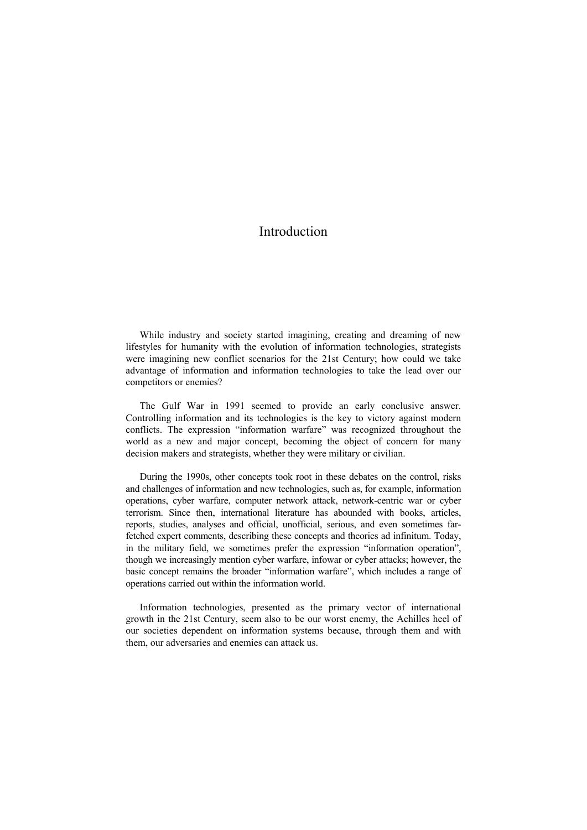## Introduction

While industry and society started imagining, creating and dreaming of new lifestyles for humanity with the evolution of information technologies, strategists were imagining new conflict scenarios for the 21st Century; how could we take advantage of information and information technologies to take the lead over our competitors or enemies?

The Gulf War in 1991 seemed to provide an early conclusive answer. Controlling information and its technologies is the key to victory against modern conflicts. The expression "information warfare" was recognized throughout the world as a new and major concept, becoming the object of concern for many decision makers and strategists, whether they were military or civilian.

During the 1990s, other concepts took root in these debates on the control, risks and challenges of information and new technologies, such as, for example, information operations, cyber warfare, computer network attack, network-centric war or cyber terrorism. Since then, international literature has abounded with books, articles, reports, studies, analyses and official, unofficial, serious, and even sometimes farfetched expert comments, describing these concepts and theories ad infinitum. Today, in the military field, we sometimes prefer the expression "information operation", though we increasingly mention cyber warfare, infowar or cyber attacks; however, the basic concept remains the broader "information warfare", which includes a range of operations carried out within the information world.

Information technologies, presented as the primary vector of international growth in the 21st Century, seem also to be our worst enemy, the Achilles heel of our societies dependent on information systems because, through them and with them, our adversaries and enemies can attack us.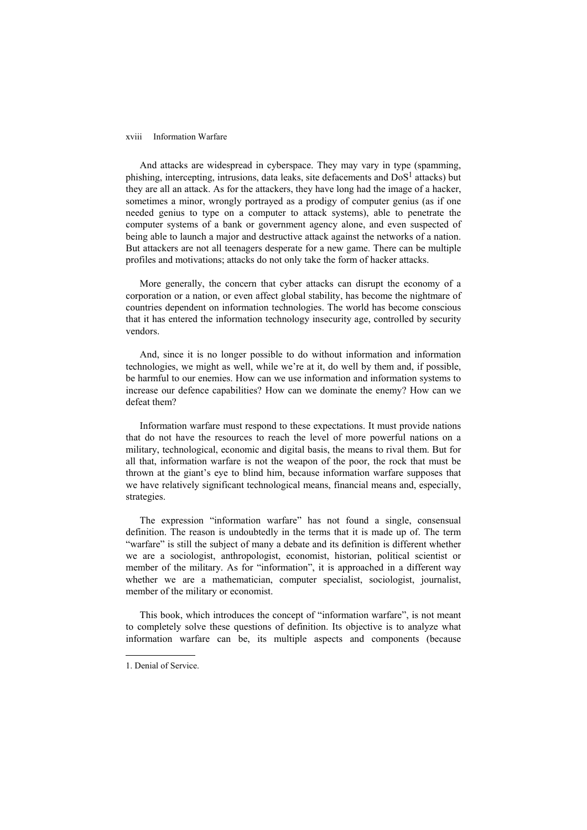## xviii Information Warfare

And attacks are widespread in cyberspace. They may vary in type (spamming, phishing, intercepting, intrusions, data leaks, site defacements and  $DoS<sup>1</sup>$  attacks) but they are all an attack. As for the attackers, they have long had the image of a hacker, sometimes a minor, wrongly portrayed as a prodigy of computer genius (as if one needed genius to type on a computer to attack systems), able to penetrate the computer systems of a bank or government agency alone, and even suspected of being able to launch a major and destructive attack against the networks of a nation. But attackers are not all teenagers desperate for a new game. There can be multiple profiles and motivations; attacks do not only take the form of hacker attacks.

More generally, the concern that cyber attacks can disrupt the economy of a corporation or a nation, or even affect global stability, has become the nightmare of countries dependent on information technologies. The world has become conscious that it has entered the information technology insecurity age, controlled by security vendors.

And, since it is no longer possible to do without information and information technologies, we might as well, while we're at it, do well by them and, if possible, be harmful to our enemies. How can we use information and information systems to increase our defence capabilities? How can we dominate the enemy? How can we defeat them?

Information warfare must respond to these expectations. It must provide nations that do not have the resources to reach the level of more powerful nations on a military, technological, economic and digital basis, the means to rival them. But for all that, information warfare is not the weapon of the poor, the rock that must be thrown at the giant's eye to blind him, because information warfare supposes that we have relatively significant technological means, financial means and, especially, strategies.

The expression "information warfare" has not found a single, consensual definition. The reason is undoubtedly in the terms that it is made up of. The term "warfare" is still the subject of many a debate and its definition is different whether we are a sociologist, anthropologist, economist, historian, political scientist or member of the military. As for "information", it is approached in a different way whether we are a mathematician, computer specialist, sociologist, journalist, member of the military or economist.

This book, which introduces the concept of "information warfare", is not meant to completely solve these questions of definition. Its objective is to analyze what information warfare can be, its multiple aspects and components (because

 $\overline{a}$ 

<sup>1.</sup> Denial of Service.